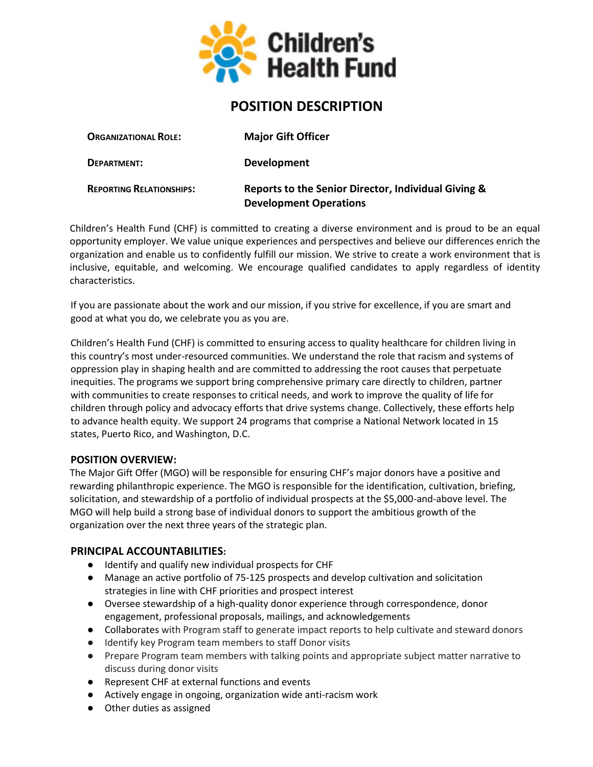

# **POSITION DESCRIPTION**

| <b>ORGANIZATIONAL ROLE:</b>     | <b>Major Gift Officer</b>                                                            |
|---------------------------------|--------------------------------------------------------------------------------------|
| DEPARTMENT:                     | <b>Development</b>                                                                   |
| <b>REPORTING RELATIONSHIPS:</b> | Reports to the Senior Director, Individual Giving &<br><b>Development Operations</b> |

Children's Health Fund (CHF) is committed to creating a diverse environment and is proud to be an equal opportunity employer. We value unique experiences and perspectives and believe our differences enrich the organization and enable us to confidently fulfill our mission. We strive to create a work environment that is inclusive, equitable, and welcoming. We encourage qualified candidates to apply regardless of identity characteristics.

If you are passionate about the work and our mission, if you strive for excellence, if you are smart and good at what you do, we celebrate you as you are.

Children's Health Fund (CHF) is committed to ensuring access to quality healthcare for children living in this country's most under-resourced communities. We understand the role that racism and systems of oppression play in shaping health and are committed to addressing the root causes that perpetuate inequities. The programs we support bring comprehensive primary care directly to children, partner with communities to create responses to critical needs, and work to improve the quality of life for children through policy and advocacy efforts that drive systems change. Collectively, these efforts help to advance health equity. We support 24 programs that comprise a National Network located in 15 states, Puerto Rico, and Washington, D.C.

#### **POSITION OVERVIEW:**

The Major Gift Offer (MGO) will be responsible for ensuring CHF's major donors have a positive and rewarding philanthropic experience. The MGO is responsible for the identification, cultivation, briefing, solicitation, and stewardship of a portfolio of individual prospects at the \$5,000-and-above level. The MGO will help build a strong base of individual donors to support the ambitious growth of the organization over the next three years of the strategic plan.

### **PRINCIPAL ACCOUNTABILITIES:**

- Identify and qualify new individual prospects for CHF
- Manage an active portfolio of 75-125 prospects and develop cultivation and solicitation strategies in line with CHF priorities and prospect interest
- Oversee stewardship of a high-quality donor experience through correspondence, donor engagement, professional proposals, mailings, and acknowledgements
- Collaborates with Program staff to generate impact reports to help cultivate and steward donors
- Identify key Program team members to staff Donor visits
- Prepare Program team members with talking points and appropriate subject matter narrative to discuss during donor visits
- Represent CHF at external functions and events
- Actively engage in ongoing, organization wide anti-racism work
- Other duties as assigned